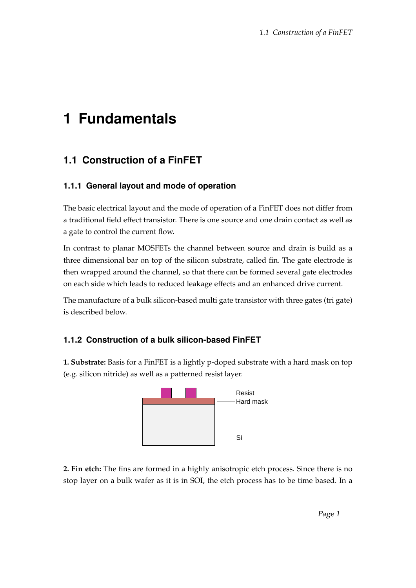## **1 Fundamentals**

## **1.1 Construction of a FinFET**

## **1.1.1 General layout and mode of operation**

The basic electrical layout and the mode of operation of a FinFET does not differ from a traditional field effect transistor. There is one source and one drain contact as well as a gate to control the current flow.

In contrast to planar MOSFETs the channel between source and drain is build as a three dimensional bar on top of the silicon substrate, called fin. The gate electrode is then wrapped around the channel, so that there can be formed several gate electrodes on each side which leads to reduced leakage effects and an enhanced drive current.

The manufacture of a bulk silicon-based multi gate transistor with three gates (tri gate) is described below.

## **1.1.2 Construction of a bulk silicon-based FinFET**

**1. Substrate:** Basis for a FinFET is a lightly p-doped substrate with a hard mask on top (e.g. silicon nitride) as well as a patterned resist layer.



**2. Fin etch:** The fins are formed in a highly anisotropic etch process. Since there is no stop layer on a bulk wafer as it is in SOI, the etch process has to be time based. In a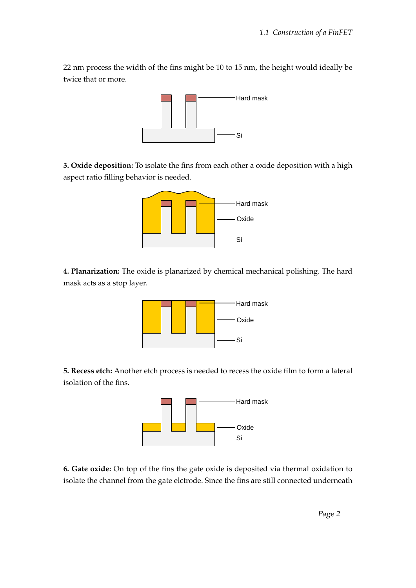22 nm process the width of the fins might be 10 to 15 nm, the height would ideally be twice that or more.



**3. Oxide deposition:** To isolate the fins from each other a oxide deposition with a high aspect ratio filling behavior is needed.



**4. Planarization:** The oxide is planarized by chemical mechanical polishing. The hard mask acts as a stop layer.



**5. Recess etch:** Another etch process is needed to recess the oxide film to form a lateral isolation of the fins.



**6. Gate oxide:** On top of the fins the gate oxide is deposited via thermal oxidation to isolate the channel from the gate elctrode. Since the fins are still connected underneath